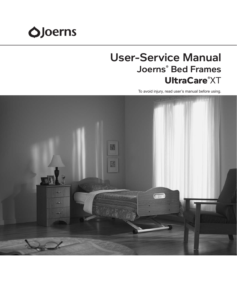# **O**Joerns

## User-Service Manual Joerns® Bed Frames **UltraCare**® XT

To avoid injury, read user's manual before using.

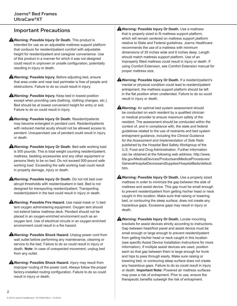## Important Precautions

**Warning: Possible Injury Or Death.** This product is intended for use as an adjustable mattress support platform that contours for resident/patient comfort with adjustable height for resident/patient and caregiver convenience. Use of this product in a manner for which it was not designed could result in unproven or unsafe configuration, potentially resulting in injury or death.

**A**Warning: Possible Injury. Before adjusting bed, ensure that area under and near bed perimeter is free of people and obstructions. Failure to do so could result in injury.

**Warning: Possible Injury.** Keep bed in lowest position except when providing care (bathing, clothing changes, etc.). Bed should be at lowest convenient height for entry or exit. Failure to do so could result in injury.

**Warning: Possible Injury Or Death.** Resident/patients may become entangled in pendant cord. Resident/patients with reduced mental acuity should not be allowed access to pendant. Unsupervised use of pendant could result in injury or death.

**Warning: Possible Injury Or Death.** Bed safe working load is 500 pounds. This is total weight counting resident/patient, mattress, bedding accessories and any other equipment or persons likely to be on bed. Do not exceed 500-pound safe working load. Exceeding the safe working load could result in property damage, injury or death.

**AWarning: Possible Injury Or Death.** Do not roll bed over abrupt thresholds with resident/patient in bed. Bed is not designed for transporting resident/patient. Transporting resident/patient in the bed could result in injury or death.

**A**Warning: Possible Fire Hazard. Use nasal mask or 1/2 bed tent oxygen administering equipment. Oxygen tent should not extend below mattress deck. Pendant should not be placed in an oxygen-enriched environment such as an oxygen tent. Use of electrical circuits in an oxygen-enriched environment could result in a fire hazard.

**Warning: Possible Shock Hazard.** Unplug power cord from wall outlet before performing any maintenance, cleaning or service to the bed. Failure to do so could result in injury or death. **Note:** In case of unexpected movement, unplug bed from any outlet.

**AWarning: Possible Shock Hazard.** Injury may result from improper routing of the power cord. Always follow the proper factory-installed routing configuration. Failure to do so could result in injury or death.

**Warning: Possible Injury Or Death.** Use a mattress that is properly sized to fit mattress support platform, which will remain centered on mattress support platform relative to State and Federal guidelines. Joerns Healthcare recommends the use of a mattress with minimum dimensions of 35 inches wide and 6 inches deep. Length should match mattress support platform. Use of an improperly fitted mattress could result in injury or death. If using Comfort Extension, see Comfort Extension manual for proper mattress size.

**Warning: Possible Injury Or Death.** If a resident/patient's mental or physical condition could lead to resident/patient entrapment, the mattress support platform should be left in the flat position when unattended. Failure to do so could result in injury or death.

**Warning:** An optimal bed system assessment should be conducted on each resident by a qualified clinician or medical provider to ensure maximum safety of the resident. The assessment should be conducted within the context of, and in compliance with, the state and federal guidelines related to the use of restraints and bed system entrapment guidance, including the *Clinical Guidance for the Assessment and Implementation of Side Rails* published by the Hospital Bed Safety Workgroup of the U.S. Food and Drug Administration. Further information can be obtained at the following web address: http://www. fda.gov/MedicalDevices/ProductsandMedicalProcedures/ GeneralHospitalDevicesandSupplies/HospitalBeds/default. htm.

**Warning: Possible Injury Or Death.** Use a properly sized mattress in order to minimize the gap between the side of mattress and assist device. This gap must be small enough to prevent resident/patient from getting his/her head or neck caught in this location. Make sure that raising or lowering bed, or contouring the sleep surface, does not create any hazardous gaps. Excessive gaps may result in injury or death.

**Warning: Possible Injury Or Death.** Locate mounting brackets for assist devices strictly according to instructions. Gap between head/foot panel and assist device must be small enough or large enough to prevent resident/patient from getting his/her head or neck caught in this location (see specific Assist Device Installation Instructions for more information). If multiple assist devices are used, position each so that gap between them is large enough for trunk and hips to pass through easily. Make sure raising or lowering bed, or contouring sleep surface does not create any hazardous gaps. Failure to do so could result in injury or death. **Important Note:** Powered air mattress surfaces may pose a risk of entrapment. Prior to use, ensure the therapeutic benefits outweigh the risk of entrapment.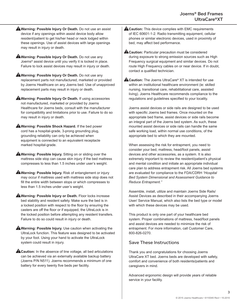- **Warning: Possible Injury Or Death.** Do not use an assist device if any openings within assist device body allow resident/patient to get his/her head or neck lodged within these openings. Use of assist devices with large openings may result in injury or death.
- **A**Warning: Possible Injury Or Death. Do not use any Joerns® assist device until you verify it is locked in place. Failure to lock assist devices may result in injury or death.
- **AWarning: Possible Injury Or Death.** Do not use any replacement parts not manufactured, marketed or provided by Joerns Healthcare on any Joerns bed. Use of unapproved replacement parts may result in injury or death.
- **Warning: Possible Injury Or Death.** If using accessories not manufactured, marketed or provided by Joerns Healthcare for Joerns beds, consult with the manufacturer for compatibility and limitations prior to use. Failure to do so may result in injury or death.
- **Warning: Possible Shock Hazard.** If the bed power cord has a hospital-grade, 3-prong grounding plug, grounding reliability can only be achieved when equipment is connected to an equivalent receptacle marked hospital-grade.
- **Warning: Possible Injury.** Sitting on or sliding over the mattress side stop can cause skin injury if the bed mattress compresses to less than 1.5 inches under user's weight.
- **Warning: Possible Injury.** Risk of entanglement or injury may occur if mattress used with mattress side stop does not fill the entire width between stops or which compresses to less than 1.5 inches under user's weight.
- **A Warning: Possible Injury or Death.** Floor locks increase bed stability and resident safety. Make sure the bed is in a locked position with respect to the floor by ensuring the casters are off the floor or if equipped, the UltraLock is in the locked position before attempting any resident transfers. Failure to do so could result in injury or death.
- **A**Warning: Possible Injury. Use caution when activating the UltraLock function. This feature was designed to be activated by your foot. Using your hand to activate the UltraLock system could result in injury.
- **A Caution:** In the absence of line voltage, all bed articulations can be achieved via an externally available backup battery (Joerns P/N N511). Joerns recommends a minimum of one battery for every twenty five beds per facility.
- **A Caution:** This device complies with EMC requirements of IEC 60601-1-2. Radio transmitting equipment, cellular phones or similar electronic devices, used in proximity of bed, may affect bed performance.
- **A Caution:** Particular precaution must be considered during exposure to strong emission sources such as High Frequency surgical equipment and similar devices. Do not route High Frequency cables on or near device. If in doubt, contact a qualified technician.
- **A Caution:** The Joerns UltraCare<sup>®</sup> XT is intended for use within an institutional healthcare environment (ie: skilled nursing, transitional care, rehabilitational care, assisted living). Joerns Healthcare recommends compliance to the regulations and guidelines specified to your locality.

Joerns assist devices or side rails are designed to be used with specific Joerns bed frames. Once mounted on the appropriate bed frame, assist devices or side rails become an integral part of the Joerns bed system. As such, these mounted assist devices or side rails can handle the same safe working load, within normal use conditions, of the appropriate bed to which they are mounted.

When assessing the risk for entrapment, you need to consider your bed, mattress, head/foot panels, assist devices and other accessories, as a system. It is also extremely important to review the resident/patient's physical and mental condition and initiate an appropriate individual care plan to address entrapment risk. All Joerns bed systems are evaluated for compliance to the FDA/CDRH *"Hospital Bed System Dimensional and Assessment Guidance to Reduce Entrapment."*

Assemble, install, utilize and maintain Joerns Side Rails/ Assist Devices as described in their accompanying Joerns User/ Service Manual, which also lists the bed type or model with which these devices may be used.

This product is only one part of your healthcare bed system. Proper combinations of mattress, head/foot panels and assist devices are needed to minimize the risk of entrapment. For more information, call Customer Care, 800-826-0270.

#### Save These Instructions

Thank you and congratulations for choosing Joerns UltraCare XT bed. Joerns beds are developed with safety, comfort and convenience of both residents/patients and caregivers in mind.

Advanced ergonomic design will provide years of reliable service in your facility.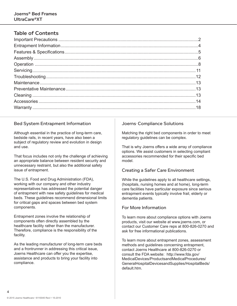## Table of Contents

#### Bed System Entrapment Information

Although essential in the practice of long-term care, bedside rails, in recent years, have also been a subject of regulatory review and evolution in design and use.

That focus includes not only the challenge of achieving an appropriate balance between resident security and unnecessary restraint, but also the additional safety issue of entrapment.

The U.S. Food and Drug Administration (FDA), working with our company and other industry representatives has addressed the potential danger of entrapment with new safety guidelines for medical beds. These guidelines recommend dimensional limits for critical gaps and spaces between bed system components.

Entrapment zones involve the relationship of components often directly assembled by the healthcare facility rather than the manufacturer. Therefore, compliance is the responsibility of the facility.

As the leading manufacturer of long-term care beds and a frontrunner in addressing this critical issue, Joerns Healthcare can offer you the expertise, assistance and products to bring your facility into compliance.

#### Joerns<sup>,</sup> Compliance Solutions

Matching the right bed components in order to meet regulatory guidelines can be complex.

That is why Joerns offers a wide array of compliance options. We assist customers in selecting compliant accessories recommended for their specific bed model.

#### Creating a Safer Care Environment

While the guidelines apply to all healthcare settings, (hospitals, nursing homes and at home), long-term care facilities have particular exposure since serious entrapment events typically involve frail, elderly or dementia patients.

#### For More Information

To learn more about compliance options with Joerns products, visit our website at www.joerns.com, or contact our Customer Care reps at 800-826-0270 and ask for free informational publications.

To learn more about entrapment zones, assessment methods and guidelines concerning entrapment, contact Joerns Healthcare at 800-826-0270 or consult the FDA website: http://www.fda.gov/ MedicalDevices/ProductsandMedicalProcedures/ GeneralHospitalDevicesandSupplies/HospitalBeds/ default.htm.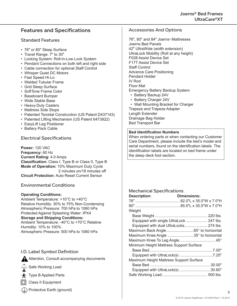## Features and Specifications

#### Standard Features

- 76" or 80" Sleep Surface
- Travel Range: 7" to 30"
- Locking System: Roll-in-Low Lock System
- Pendant Connections on both left and right side
- Cable connection for optional Staff Control
- Whisper Quiet DC Motors
- Fast Speed Hi-Lo
- Welded Tubular Frame
- Grid Sleep Surface
- SoftTone Frame Color
- Baseboard Bumper
- Wide Stable Base
- Heavy-Duty Casters
- Mattress Side Stops
- Patented Toroidal Construction (US Patent D437143)
- Patented Lifting Mechanism (US Patent 6473922)
- EasyLift Leg Positioner
- Battery Pack Cable

#### Electrical Specifications

**Power:** 120 VAC **Frequency:** 60 Hz **Current Rating:** 4.0 Amps **Classification:** Class I, Type B or Class II, Type B **Mode of Operation:** 10% Maximum Duty Cycle 2 minutes on/18 minutes off **Circuit Protection:** Auto Reset Current Sensor

#### Environmental Conditions

#### **Operating Conditions:**

Ambient Temperature: +10°C to +40°C Relative Humidity: 30% to 75% Non-Condensing Atmospheric Pressure: 700 hPa to 1060 hPa Protected Against Splashing Water: IPX4 **Storage and Shipping Conditions:** Ambient Temperature: -40°C to +70°C Relative Humidity: 10% to 100% Atmospheric Pressure: 500 hPa to 1060 hPa

#### I.D. Label Symbol Definition

Attention, Consult accompanying documents

Safe Working Load



**术** Type B Applied Parts

□ Class II Equipment

 $\Box$ ) Protective Earth (ground)

#### Accessories And Options

76", 80" and 84" Joerns® Mattresses Joerns Bed Panels 42" UltraWide (width extension) UltraLock Mobility (Roll at any height) F028 Assist Device Set F17T Assist Device Set Staff Control Advance Care Positioning Pendant Holder IV Rod Floor Mat Emergency Battery Backup System • Battery Backup 24V

• Battery Charger 24V

• Wall Mounting Bracket for Charger Trapeze and Trapeze Adapter Length Extender Drainage Bag Holder Bed Transport Bar

#### **Bed Identification Numbers**

When ordering parts or when contacting our Customer Care Department, please include the bed's model and serial numbers, found on the identification labels. The identification labels are located on bed frame under the sleep deck foot section.

#### Mechanical Specifications

| <b>Dimensions:</b>                       |
|------------------------------------------|
|                                          |
|                                          |
|                                          |
|                                          |
| Equipped with single UltraLock  247 lbs. |
| Equipped with dual UltraLocks 274 lbs.   |
| Maximum Back Angle 65° to horizontal     |
| Maximum Knee Angle 35° to horizontal     |
|                                          |
| Minimum Height Mattress Support Surface  |
|                                          |
| Equipped with UltraLock(s) 7.25"         |
| Maximum Height Mattress Support Surface  |
|                                          |
| Equipped with UltraLock(s) 30.60"        |
|                                          |
|                                          |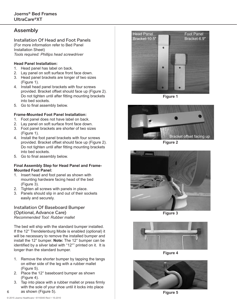## Assembly

Installation Of Head and Foot Panels (For more information refer to Bed Panel Installation Sheet) *Tools required: Phillips head screwdriver*

#### **Head Panel Installation:**

- 1. Head panel has label on back.
- 2. Lay panel on soft surface front face down.
- 3. Head panel brackets are longer of two sizes (Figure 1).
- 4. Install head panel brackets with four screws provided. Bracket offset should face up (Figure 2). Do not tighten until after fitting mounting brackets into bed sockets.
- 5. Go to final assembly below.

#### **Frame-Mounted Foot Panel Installation:**

- 1. Foot panel does not have label on back.
- 2. Lay panel on soft surface front face down.
- 3. Foot panel brackets are shorter of two sizes (Figure 1).
- 4. Install the foot panel brackets with four screws provided. Bracket offset should face up (Figure 2). Do not tighten until after fitting mounting brackets into bed sockets.
- 5. Go to final assembly below.

#### **Final Assembly Step for Head Panel and Frame-Mounted Foot Panel:**

- 1. Insert head and foot panel as shown with mounting hardware facing head of the bed (Figure 3).
- 2. Tighten all screws with panels in place.
- 3. Panels should slip in and out of their sockets easily and securely.

#### Installation Of Baseboard Bumper (Optional, Advance Care) *Recommended Tool: Rubber mallet*

The bed will ship with the standard bumper installed. If the 12° Trendelenburg Mode is enabled (optional) it will be necessary to remove the installed bumper and install the 12° bumper. **Note:** The 12° bumper can be identified by a silver label with "12°" printed on it. It is longer than the standard bumper.

- 1. Remove the shorter bumper by tapping the tangs on either side of the leg with a rubber mallet (Figure 5).
- 2. Place the 12° baseboard bumper as shown (Figure 4).
- 3. Tap into place with a rubber mallet or press firmly with the sole of your shoe until it locks into place as shown (Figure 5).



**Figure 1**



**Figure 2**



**Figure 3**



**Figure 4**



**Figure 5**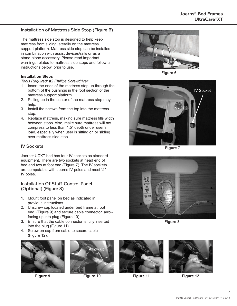#### Installation of Mattress Side Stop (Figure 6)

The mattress side stop is designed to help keep mattress from sliding laterally on the mattress support platform. Mattress side stop can be installed in combination with assist devices/rails or as a stand-alone accessory. Please read important warnings related to mattress side stops and follow all instructions below, prior to use.

#### **Installation Steps**

*Tools Required: #2 Phillips Screwdriver*

- 1. Insert the ends of the mattress stop up through the bottom of the bushings in the foot section of the mattress support platform.
- 2. Pulling up in the center of the mattress stop may help.
- 3. Install the screws from the top into the mattress stop.
- 4. Replace mattress, making sure mattress fills width between stops. Also, make sure mattress will not compress to less than 1.5" depth under user's load, especially when user is sitting on or sliding over mattress side stop.

#### IV Sockets

Joerns® UCXT bed has four IV sockets as standard equipment. There are two sockets at head end of bed and two at foot end (Figure 7). The IV sockets are compatable with Joerns IV poles and most ½" IV poles.

#### Installation Of Staff Control Panel (Optional) (Figure 8)

- 1. Mount foot panel on bed as indicated in previous instructions.
- 2. Unscrew cap located under bed frame at foot end, (Figure 9) and secure cable connector, arrow facing up into plug (Figure 10).
- 3. Ensure that the cable connector is fully inserted into the plug (Figure 11).
- 4. Screw on cap from cable to secure cable (Figure 12).





**Figure 9 Figure 10**



**Figure 6**



**Figure 7**



**Figure 8**





**Figure 11 Figure 12**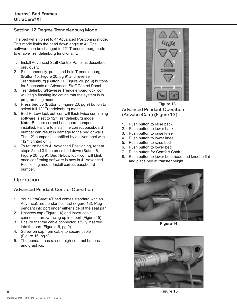#### Setting 12 Degree Trendelenburg Mode

The bed will ship set to 4° Advanced Positioning mode. This mode limits the head down angle to 4°. The software can be changed to 12° Trendelenburg mode to enable Trendelenburg functionality.

- 1. Install Advanced Staff Control Panel as described previously.
- 2. Simultaneously, press and hold Trendelenburg (Button 10, Figure 20, pg 9) and reverse Trendelenburg (Button 11, Figure 20, pg 9) buttons for 5 seconds on Advanced Staff Control Panel.
- 3. Trendelenburg/Reverse Trendelenburg lock icon will begin flashing indicating that the system is in programming mode.
- 4. Press bed up (Button 5, Figure 20, pg 9) button to select full 12° Trendelenburg mode.
- 5. Bed Hi-Low lock out icon will flash twice confirming software is set to 12° Trendelenburg mode. **Note:** Be sure correct baseboard bumper is installed. Failure to install the correct baseboard bumper can result in damage to the bed or walls. The 12° bumper is identified by a silver label with "12°" printed on it.
- 6. To return bed to 4° Advanced Positioning, repeat steps 2 and 3 then press bed down (Button 6, Figure 20, pg 9). Bed Hi-Low lock icon will blink once confirming software is now in 4° Advanced Positioning mode. Install correct baseboard bumper.

## **Operation**

#### Advanced Pendant Control Operation

- 1. Your UltraCare® XT bed comes standard with an AdvanceCare pendant control (Figure 13). Plug pendant into port under either side of the seat pan.
- 2. Unscrew cap (Figure 14) and insert cable connector, arrow facing up into port (Figure 15).
- 3. Ensure that the cable connector is fully inserted into the port (Figure 16, pg 9).
- 4. Screw on cap from cable to secure cable (Figure 16, pg 9).
- 5. The pendant has raised, high-contrast buttons and graphics.



Advanced Pendant Operation (AdvanceCare) (Figure 13)

- 1. Push button to raise back
- 2. Push button to lower back
- 3. Push button to raise knee
- 4. Push button to lower knee
- 5. Push button to raise bed
- 6. Push button to lower bed
- 7. Push button for Comfort Chair
- 8. Push button to lower both head and knee to flat and place bed at transfer height.



**Figure 14**



**Figure 15**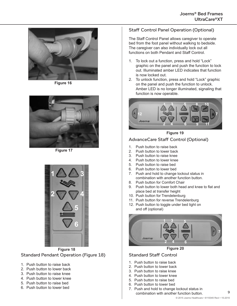

**Figure 16**



**Figure 17**



Standard Pendant Operation (Figure 18) **Figure 18**

- 1. Push button to raise back
- 2. Push button to lower back
- 3. Push button to raise knee
- 4. Push button to lower knee
- 5. Push button to raise bed
- 6. Push button to lower bed

#### Staff Control Panel Operation (Optional)

The Staff Control Panel allows caregiver to operate bed from the foot panel without walking to bedside. The caregiver can also individually lock out all functions on both Pendant and Staff Control.

- 1. To lock out a function, press and hold "Lock" graphic on the panel and push the function to lock out. Illuminated amber LED indicates that function is now locked out.
- 2. To unlock function, press and hold "Lock" graphic on the panel and push the function to unlock. Amber LED is no longer illuminated, signaling that function is now operable.



**Figure 19**

#### AdvanceCare Staff Control (Optional)

- 1. Push button to raise back
- 2. Push button to lower back
- 3. Push button to raise knee
- 4. Push button to lower knee
- 5. Push button to raise bed
- 6. Push button to lower bed
- 7. Push and hold to change lockout status in combination with another function button.
- 8. Push button for Comfort Chair
- 9. Push button to lower both head and knee to flat and place bed at transfer height
- 10. Push button for Trendelenburg
- 11. Push button for reverse Trendelenburg
- 12. Push button to toggle under bed light on and off (optional)



**Figure 20**

#### Standard Staff Control

- 1. Push button to raise back
- 2. Push button to lower back
- 3. Push button to raise knee
- 4. Push button to lower knee
- 5. Push button to raise bed
- 6. Push button to lower bed
- 7. Push and hold to change lockout status in combination with another function button.

 $\alpha$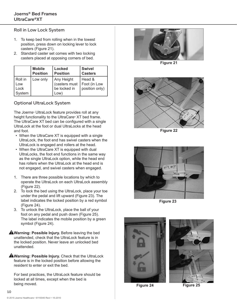#### Roll in Low Lock System

- 1. To keep bed from rolling when in the lowest position, press down on locking lever to lock casters (Figure 21).
- 2. Standard caster set comes with two locking casters placed at opposing corners of bed.

|                                  | <b>Mobile</b>   | <b>Locked</b>                                       | <b>Swivel</b>                              |
|----------------------------------|-----------------|-----------------------------------------------------|--------------------------------------------|
|                                  | <b>Position</b> | <b>Position</b>                                     | <b>Casters</b>                             |
| Roll in<br>Low<br>Lock<br>System | Low only        | Any Height<br>(casters must<br>be locked in<br>Low) | l Head &<br>Foot (in Low<br>position only) |

#### Optional UltraLock System

The Joerns® UltraLock feature provides roll at any height functionality to the UltraCare® XT bed frame. The UltraCare XT bed can be configured with a single UltraLock at the foot or dual UltraLocks at the head and foot.

- When the UltraCare XT is equipped with a single UltraLock, the foot end has swivel casters when the UltraLock is engaged and rollers at the head.
- When the UltraCare XT is equipped with dual UltraLocks, the foot end functions in the same way as the single UltraLock option, while the head end has rollers when the UltraLock at the head end is not engaged, and swivel casters when engaged.
- 1. There are three possible locations by which to operate the UltraLock on each UltraLock assembly (Figure 22).
- 2. To lock the bed using the UltraLock, place your toe under the pedal and lift upward (Figure 23). The label indicates the locked position by a red symbol (Figure 24).
- 3. To unlock the UltraLock, place the ball of your foot on any pedal and push down (Figure 25). The label indicates the mobile position by a green symbol (Figure 24).
- **AWarning: Possible Injury.** Before leaving the bed unattended, check that the UltraLock feature is in the locked position. Never leave an unlocked bed unattended.

**Warning: Possible Injury.** Check that the UltraLock feature is in the locked position before allowing the resident to enter or exit the bed.

For best practices, the UltraLock feature should be locked at all times, except when the bed is being moved.



**Figure 21**



**Figure 22**



**Figure 23**





**Figure 24 Figure 25**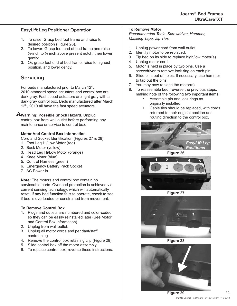#### EasyLift Leg Positioner Operation

- 1. To raise: Grasp bed foot frame and raise to desired position (Figure 26).
- 2. To lower: Grasp foot end of bed frame and raise  $\frac{1}{2}$ -inch to  $\frac{3}{4}$  inch above present notch, then lower gently;
- 3. Or, grasp foot end of bed frame, raise to highest position, and lower gently.

## **Servicing**

For beds manufactured prior to March  $12<sup>th</sup>$ , 2010-standard speed actuators and control box are dark gray. Fast speed actuators are light gray with a dark gray control box. Beds manufactured after March 12<sup>th</sup>, 2010 all have the fast speed actuators.

#### **AWarning: Possible Shock Hazard.** Unplug

control box from wall outlet before performing any maintenance or service to control box.

#### **Motor And Control Box Information**

Cord and Socket Identification (Figures 27 & 28)

- 1. Foot Leg Hi/Low Motor (red)
- 2. Back Motor (yellow)
- 3. Head Leg Hi/Low Motor (orange)
- 4. Knee Motor (blue)
- 5. Control Harness (green)
- 6. Emergency Battery Pack Socket
- 7. AC Power in

**Note:** The motors and control box contain no serviceable parts. Overload protection is achieved via current sensing technology, which will automatically reset. If any bed function fails to operate, check to see if bed is overloaded or constrained from movement.

#### **To Remove Control Box**

- 1. Plugs and outlets are numbered and color-coded so they can be easily reinstalled later (See Motor and Control Box information).
- 2. Unplug from wall outlet.
- 3. Unplug all motor cords and pendant/staff control plug.
- 4. Remove the control box retaining clip (Figure 29).
- 5. Slide control box off the motor assembly.
- 6. To replace control box, reverse these instructions.

#### **To Remove Motor**

*Recommended Tools: Screwdriver, Hammer, Masking Tape, Zip Ties*

- 1. Unplug power cord from wall outlet.
- 2. Identify motor to be replaced.
- 3. Tip bed on its side to replace high/low motor(s).
- 4. Unplug motor cord.
- 5. Motor is held in place by two pins. Use a screwdriver to remove lock ring on each pin.
- 6. Slide pins out of holes. If necessary, use hammer to tap out the pins.
- 7. You may now replace the motor(s).
- 8. To reassemble bed, reverse the previous steps, making note of the following two important items:
	- Assemble pin and lock rings as originally installed.
	- Cable ties should be replaced, with cords returned to their original position and routing direction to the control box.







**Figure 27**



**Figure 28**

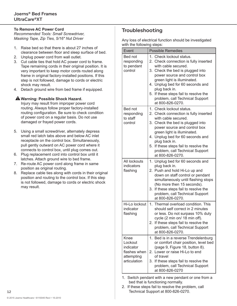#### **To Remove AC Power Cord**

*Recommended Tools: Small Screwdriver, Masking Tape, Zip Ties, 5/16" Nut Driver*

- 1. Raise bed so that there is about 27 inches of clearance between floor and sleep surface of bed.
- 2. Unplug power cord from wall outlet.
- 3. Cut cable ties that hold AC power cord to frame. Tape remaining cords in their original position. It is very important to keep motor cords routed along frame in original factory-installed positions. If this step is not followed, damage to cords or electric shock may result.
- 4. Detach ground wire from bed frame if equipped.

#### **Warning: Possible Shock Hazard.**

Injury may result from improper power cord routing. Always follow proper factory-installed routing configuration. Be sure to check condition of power cord on a regular basis. Do not use damaged or frayed power cords.

- 5. Using a small screwdriver, alternately depress small red latch tabs above and below AC inlet receptacle on the control box. Simultaneously, pull gently outward on AC power cord where it connects to control box, until plug comes out.
- 6. Plug replacement cord into control box until it latches. Attach ground wire to bed frame.
- 7. Re-route AC power cord along frame in same position as original routing.
- 8. Replace cable ties along with cords in their original position and routing to the control box. If this step is not followed, damage to cords or electric shock may result.

## Troubleshooting

Any loss of electrical function should be investigated with the following steps:

| Event                                                                      | <b>Possible Remedies</b>                                                                                                                                                                                                                                                                                                                            |
|----------------------------------------------------------------------------|-----------------------------------------------------------------------------------------------------------------------------------------------------------------------------------------------------------------------------------------------------------------------------------------------------------------------------------------------------|
| Bed not<br>responding<br>to pendant<br>control                             | 1. Check lockout status.<br>2. Check connection is fully inserted<br>with cable secured.<br>3. Check the bed is plugged into<br>power source and control box<br>green light is illuminated.<br>4. Unplug bed for 60 seconds and<br>plug back in.<br>If these steps fail to resolve the<br>5.<br>problem, call Technical Support<br>at 800-826-0270. |
| Bed not<br>responding<br>to staff<br>control                               | 1. Check lockout status.<br>2. Check connection is fully inserted<br>with cable secured.<br>3. Check the bed is plugged into<br>power source and control box<br>green light is illuminated.<br>4. Unplug bed for 60 seconds and<br>plug back in.<br>If these steps fail to resolve the<br>5.<br>problem, call Technical Support<br>at 800-826-0270. |
| All lockouts<br>indicators<br>flashing                                     | Unplug bed for 60 seconds and<br>1.<br>plug back in.<br>Push and hold Hi-Lo up and<br>2.<br>down on staff control or pendant<br>simultaneously until flashing stops<br>(No more then 15 seconds).<br>If these steps fail to resolve the<br>3.<br>problem, call Technical Support<br>at 800-826-0270.                                                |
| Hi-Lo lockout<br>indicator<br>flashing                                     | 1.<br>Thermal overload condition. This<br>should self correct in 2 minutes<br>or less. Do not surpass 10% duty<br>cycle (2 min on/ 18 min off).<br>2. If these steps fail to resolve the<br>problem, call Technical Support<br>at 800-826-0270.                                                                                                     |
| Knee<br>Lockout<br>indicator<br>flashes when<br>attempting<br>articulation | Bed is in a reverse Trendelenburg<br>1.<br>or comfort chair position, level bed<br>(page 9, Figure 18, button 8).<br>Lower or raise Hi-Lo to end<br>2.<br>of travel<br>If these steps fail to resolve the<br>3.<br>problem, call Technical Support<br>at 800-826-0270                                                                               |

- 1. Switch pendant with a new pendant or one from a bed that is functioning normally.
- 2. If these steps fail to resolve the problem, call Technical Support at 800-826-0270.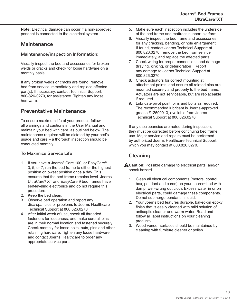**Note:** Electrical damage can occur if a non-approved pendant is connected to the electrical system.

## **Maintenance**

Maintenance/inspection Information:

Visually inspect the bed and accessories for broken welds or cracks and check for loose hardware on a monthly basis.

If any broken welds or cracks are found, remove bed from service immediately and replace affected part(s). If necessary, contact Technical Support, 800-826-0270, for assistance. Tighten any loose hardware.

## Preventative Maintenance

To ensure maximum life of your product, follow all warnings and cautions in the User Manual and maintain your bed with care, as outlined below. The maintenance required will be dictated by your bed's usage and care – a thorough inspection should be conducted monthly.

#### To Maximize Service Life

- 1. If you have a Joerns® Care 100, or EasyCare® 3, 5, or 7, run the bed frame to either the highest position or lowest position once a day. This ensures that the bed frame remains level. Joerns UltraCare® XT and EasyCare 9 bed frames have self-leveling electronics and do not require this procedure.
- 2. Keep the bed clean.
- 3. Observe bed operation and report any discrepancies or problems to Joerns Healthcare Technical Support at 800.826.0270
- 4. After initial week of use, check all threaded fasteners for looseness, and make sure all pins are in their normal location and fastened securely. Check monthly for loose bolts, nuts, pins and other retaining hardware. Tighten any loose hardware, and contact Joerns Healthcare to order any appropriate service parts.
- 5. Make sure each inspection includes the underside of the bed frame and mattress support platform.
- 6. Visually inspect the bed frame and accessories for any cracking, bending, or hole enlargement. If found, contact Joerns Technical Support at 800.826.0270, remove the bed from service immediately, and replace the affected parts.
- 7. Check wiring for proper connections and damage (fraying, kinking, or deterioration). Report any damage to Joerns Technical Support at 800.826.0270
- 8. Check actuators for correct mounting at attachment points and ensure all related pins are mounted securely and properly to the bed frame. Actuators are not serviceable, but are replaceable if required.
- 9. Lubricate pivot point, pins and bolts as required. The recommended lubricant is Joerns-approved grease #12500013, available from Joerns Technical Support at 800.826.0270.

If any discrepancies are noted during inspection, they must be corrected before continuing bed frame use. Major service and repairs must be performed by authorized Joerns Healthcare Technical Support, which you may contact at 800.826.0270.

## Cleaning

- **A Caution:** Possible damage to electrical parts, and/or shock hazard.
	- 1. Clean all electrical components (motors, control box, pendant and cords) on your Joerns<sup>®</sup> bed with damp, well-wrung out cloth. Excess water in or on electrical parts, could damage these components. Do not submerge pendant in liquid.
	- 2. Your Joerns bed features durable, baked-on epoxy finish that is easily cleaned with mild solution of antiseptic cleaner and warm water. Read and follow all label instructions on your cleaning products.
	- 3. Wood veneer surfaces should be maintained by cleaning with furniture cleaner or polish.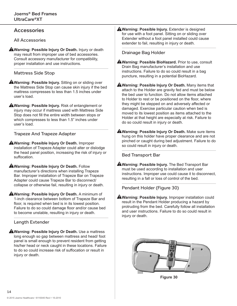#### **Accessories**

All Accessories

**Warning: Possible Injury Or Death.** Injury or death may result from improper use of bed accessories. Consult accessory manufacturer for compatibility, proper installation and use instructions.

Mattress Side Stop

**Warning: Possible Injury.** Sitting on or sliding over the Mattress Side Stop can cause skin injury if the bed mattress compresses to less than 1.5 inches under user's load.

**AWarning: Possible Injury.** Risk of entanglement or injury may occur if mattress used with Mattress Side Stop does not fill the entire width between stops or which compresses to less than 1.5" inches under user's load.

#### Trapeze And Trapeze Adapter

**Warning: Possible Injury Or Death.** Improper installation of Trapeze Adapter could alter or dislodge the head panel position, increasing the risk of injury or suffocation.

**AWarning: Possible Injury Or Death. Follow** manufacturer's directions when installing Trapeze Bar. Improper installation of Trapeze Bar on Trapeze Adapter could cause Trapeze Bar to disconnect/ collapse or otherwise fail, resulting in injury or death.

**AWarning: Possible Injury Or Death.** A minimum of 1-inch clearance between bottom of Trapeze Bar and floor, is required when bed is in its lowest position. Failure to do so could damage floor and/or cause bed to become unstable, resulting in injury or death.

#### Length Extender

**AWarning: Possible Injury Or Death.** Use a mattress long enough so gap between mattress and head/ foot panel is small enough to prevent resident from getting his/her head or neck caught in these locations. Failure to do so could increase risk of suffocation or result in injury or death.

**A**Warning: Possible Injury. Extender is designed for use with a foot panel. Sitting on or sliding over Extender without a foot panel installed could cause extender to fail, resulting in injury or death.

#### Drainage Bag Holder

- **Warning: Possible BioHazard.** Prior to use, consult Drain Bag manufacturer's installation and use instructions. Failure to do so could result in a bag puncture, resulting in a potential BioHazard.
- **Warning: Possible Injury Or Death.** Many items that attach to the Holder are gravity fed and must be below the bed user to function. Do not allow items attached to Holder to rest or be positioned on the floor, where they might be stepped on and adversely affected or damaged. Exercise particular caution when bed is moved to its lowest position as items attached to the Holder at that height are especially at risk. Failure to do so could result in injury or death.
- **Warning: Possible Injury Or Death.** Make sure items hung on this holder have proper clearance and are not pinched or caught during bed adjustment. Failure to do so could result in injury or death.

Bed Transport Bar

**Warning: Possible Injury.** The Bed Transport Bar must be used according to installation and user instructions. Improper use could cause it to disconnect, resulting in a fall or loss of control of the bed.

Pendant Holder (Figure 30)

**A**Warning: Possible Injury. Improper installation could result in the Pendant Holder producing a hazard by protruding from the bed. Carefully follow all installation and user instructions. Failure to do so could result in injury or death.



**Figure 30**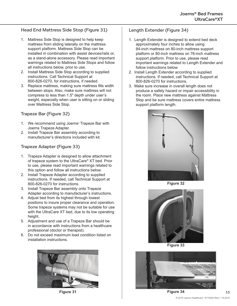#### Head End Mattress Side Stop (Figure 31)

- 1. Mattress Side Stop is designed to help keep mattress from sliding laterally on the mattress support platform. Mattress Side Stop can be installed in combination with assist devices/rails or, as a stand-alone accessory. Please read important warnings related to Mattress Side Stops and follow all instructions below, prior to use.
- 2. Install Mattress Side Stop according to supplied instructions. Call Technical Support at 800-826-0270, for instructions, if needed.
- 3. Replace mattress, making sure mattress fills width between stops. Also, make sure mattress will not compress to less than 1.5" depth under user's weight, especially when user is sitting on or sliding over Mattress Side Stop.

#### Trapeze Bar (Figure 32)

- 1. We recommend using Joerns<sup>®</sup> Trapeze Bar with Joerns Trapeze Adapter.
- 2. Install Trapeze Bar assembly according to manufacturer's directions included with kit.

#### Trapeze Adapter (Figure 33)

- 1. Trapeze Adapter is designed to allow attachment of trapeze system to the UltraCare® XT bed. Prior to use, please read important warnings related to this option and follow all instructions below.
- 2. Install Trapeze Adapter according to supplied instructions. If needed, call Technical Support at 800-826-0270 for instructions.
- 3. Install Trapeze Bar assembly onto Trapeze Adapter according to manufacturer's instructions.
- 4. Adjust bed from its highest through lowest positions to insure proper clearance and operation. Some trapeze systems may not be suitable for use with the UltraCare XT bed, due to its low operating height.
- 5. Adjustment and use of a Trapeze Bar should be in accordance with instructions from a healthcare professional (doctor or therapist).
- 6. Do not exceed maximum load condition listed on installation instructions.



**Figure 31**

#### Length Extender (Figure 34)

- 1. Length Extender is designed to extend bed deck approximately four inches to allow using 84-inch mattress on 80-inch mattress support platform or 80-inch mattress on 76-inch mattress support platform. Prior to use, please read important warnings related to Length Extender and follow instructions below.
- 2. Install Length Extender according to supplied instructions. If needed, call Technical Support at 800-826-0270 for instructions.
- 3. Make sure increase in overall length does not produce a safety hazard or impair accessibility in the room. Place new mattress against Mattress Stop and be sure mattress covers entire mattress support platform length.



**Figure 32**



**Figure 33**



**Figure 34**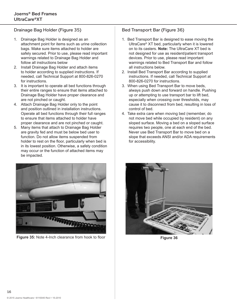### Drainage Bag Holder (Figure 35)

- 1. Drainage Bag Holder is designed as an attachment point for items such as urine collection bags. Make sure items attached to holder are safely secured. Prior to use, please read important warnings related to Drainage Bag Holder and follow all instructions below
- 2. Install Drainage Bag Holder and attach items to holder according to supplied instructions. If needed, call Technical Support at 800-826-0270 for instructions.
- 3. It is important to operate all bed functions through their entire ranges to ensure that items attached to Drainage Bag Holder have proper clearance and are not pinched or caught.
- 4. Attach Drainage Bag Holder only to the point and position outlined in installation instructions. Operate all bed functions through their full ranges to ensure that items attached to holder have proper clearance and are not pinched or caught.
- 5. Many items that attach to Drainage Bag Holder are gravity fed and must be below bed user to function. Do not allow items suspended from holder to rest on the floor, particularly when bed is in its lowest position. Otherwise, a safety condition may occur or the function of attached items may be impacted.



**Figure 35:** Note 4-Inch clearance from hook to floor **Figure 36** 

#### Bed Transport Bar (Figure 36)

- 1. Bed Transport Bar is designed to ease moving the UltraCare® XT bed, particularly when it is lowered on to its casters. **Note:** The UltraCare XT bed is not designed for use as resident/patient transport devices. Prior to use, please read important warnings related to Bed Transport Bar and follow all instructions below.
- 2. Install Bed Transport Bar according to supplied instructions. If needed, call Technical Support at 800-826-0270 for instructions.
- 3. When using Bed Transport Bar to move beds, always push down and forward on handle. Pushing up or attempting to use transport bar to lift bed, especially when crossing over thresholds, may cause it to disconnect from bed, resulting in loss of control of bed.
- 4. Take extra care when moving bed (remember, do not move bed while occupied by resident) on any sloped surface. Moving a bed on a sloped surface requires two people, one at each end of the bed. Never use Bed Transport Bar to move bed on a slope that exceeds ANSI and/or ADA requirements for accessibility.

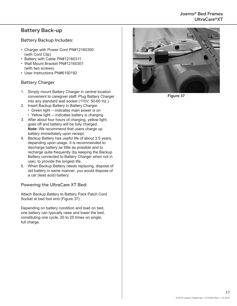#### Joerns® Bed Frames UltraCare®XT

## Battery Back-up

#### Battery Backup Includes:

- Charger with Power Cord PN#12160300 (with Cord Clip)
- Battery with Cable PN#12160311
- Wall Mount Bracket PN#12160301 (with two screws)
- User Instructions PN#6150192

#### Battery Charger

- 1. Simply mount Battery Charger in central location convenient to caregiver staff. Plug Battery Charger into any standard wall socket (110V; 50-60 Hz.).
- 2. Insert Backup Battery in Battery Charger.
	- Green light -- indicates main power is on • Yellow light -- indicates battery is charging
- 3. After about four hours of charging, yellow light goes off and battery will be fully charged. **Note:** We recommend that users charge up battery immediately upon receipt.
- 4. Backup Battery has useful life of about 3.5 years, depending upon usage. It is recommended to discharge battery as little as possible and to recharge quite frequently (by keeping the Backup Battery connected to Battery Charger when not in use), to provide the longest life.
- 5. When Backup Battery needs replacing, dispose of old battery in same manner, you would dispose of a car (lead acid) battery.

#### Powering the UltraCare XT Bed:

Attach Backup Battery to Battery Pack Patch Cord Socket at bed foot end (Figure 37).

Depending on battery condition and load on bed, one battery can typically raise and lower the bed, constituting one cycle, 20 to 25 times on single, full charge.



**Figure 37**